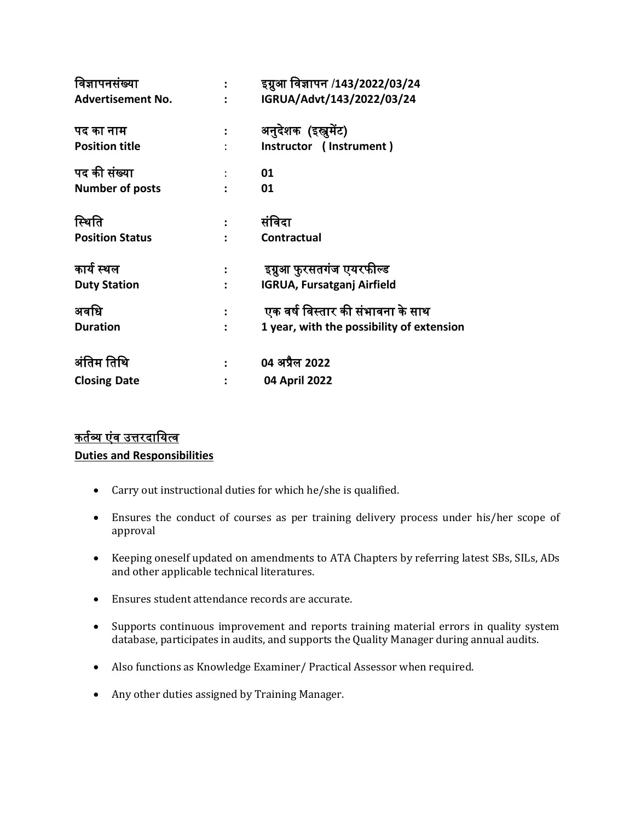| विज्ञापनसंख्या           |                      | इग्नुआ विज्ञापन /143/2022/03/24           |
|--------------------------|----------------------|-------------------------------------------|
| <b>Advertisement No.</b> |                      | IGRUA/Advt/143/2022/03/24                 |
| पद का नाम                |                      | अनुदेशक (इस्त्रुमेंट)                     |
| <b>Position title</b>    |                      | Instructor (Instrument)                   |
| पद की संख्या             |                      | 01                                        |
| <b>Number of posts</b>   |                      | 01                                        |
| स्थिति                   |                      | संविदा                                    |
| <b>Position Status</b>   |                      | <b>Contractual</b>                        |
|                          |                      |                                           |
| कार्य स्थल               |                      | इग्रुआ फुरसतगंज एयरफील्ड                  |
| <b>Duty Station</b>      | $\ddot{\phantom{a}}$ | <b>IGRUA, Fursatganj Airfield</b>         |
| अवधि                     |                      | एक वर्ष विस्तार की संभावना के साथ         |
| <b>Duration</b>          |                      | 1 year, with the possibility of extension |
| अंतिम तिथि               |                      | 04 अप्रैल 2022                            |
| <b>Closing Date</b>      |                      | 04 April 2022                             |
|                          |                      |                                           |

# <u>कर्तव्य एंव उत्तरदायित्व</u> **Duties and Responsibilities**

- Carry out instructional duties for which he/she is qualified.
- Ensures the conduct of courses as per training delivery process under his/her scope of approval
- Keeping oneself updated on amendments to ATA Chapters by referring latest SBs, SILs, ADs and other applicable technical literatures.
- Ensures student attendance records are accurate.
- Supports continuous improvement and reports training material errors in quality system database, participates in audits, and supports the Quality Manager during annual audits.
- Also functions as Knowledge Examiner/ Practical Assessor when required.
- Any other duties assigned by Training Manager.